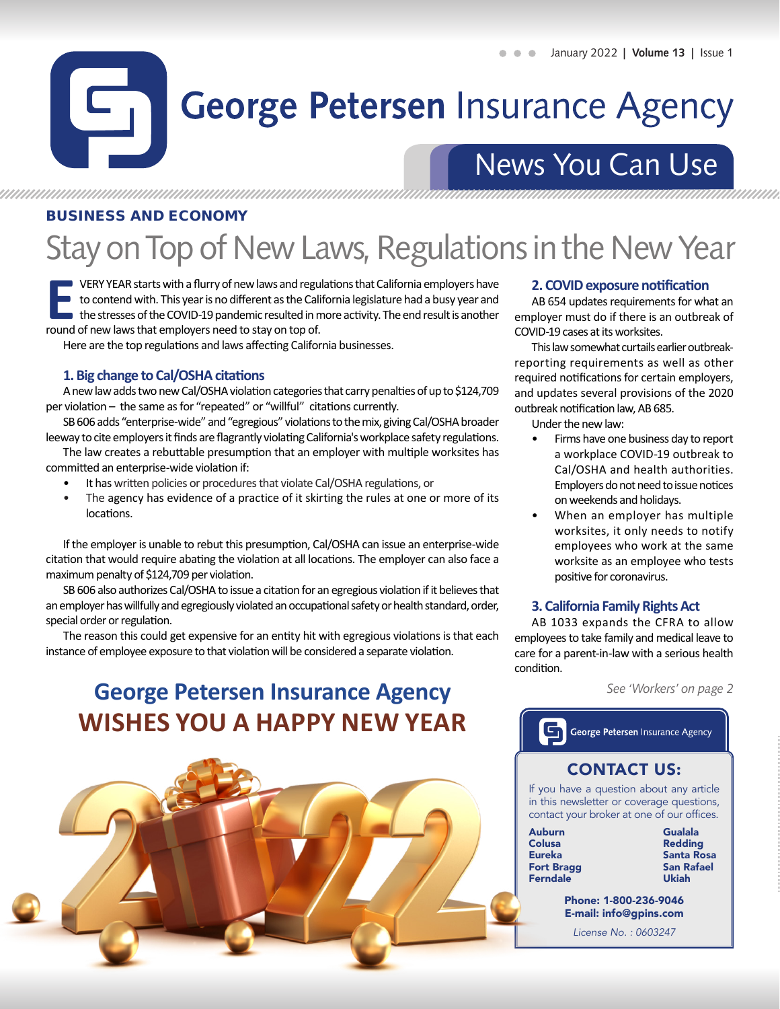## 51 **George Petersen Insurance Agency**

## News You Can Use

### BUSINESS AND ECONOMY

# Stay on Top of New Laws, Regulations in the New Year

**ERY YEAR starts with a flurry of new laws and regulations that California employers have<br>to contend with. This year is no different as the California legislature had a busy year and<br>the stresses of the COVID-19 pandemic r** to contend with. This year is no different as the California legislature had a busy year and the stresses of the COVID-19 pandemic resulted in more activity. The end result is another round of new laws that employers need to stay on top of.

Here are the top regulations and laws affecting California businesses.

### **1. Big change to Cal/OSHA citations**

A new law adds two new Cal/OSHA violation categories that carry penalties of up to \$124,709 per violation – the same as for "repeated" or "willful" citations currently.

SB 606 adds "enterprise-wide" and "egregious" violations to the mix, giving Cal/OSHA broader leeway to cite employers it finds are flagrantly violating California's workplace safety regulations.

The law creates a rebuttable presumption that an employer with multiple worksites has committed an enterprise-wide violation if:

- It has written policies or procedures that violate Cal/OSHA regulations, or
- The agency has evidence of a practice of it skirting the rules at one or more of its locations.

If the employer is unable to rebut this presumption, Cal/OSHA can issue an enterprise-wide citation that would require abating the violation at all locations. The employer can also face a maximum penalty of \$124,709 per violation.

SB 606 also authorizes Cal/OSHA to issue a citation for an egregious violation if it believes that an employer has willfully and egregiously violated an occupational safety or health standard, order, special order or regulation.

The reason this could get expensive for an entity hit with egregious violations is that each instance of employee exposure to that violation will be considered a separate violation.

## **George Petersen Insurance Agency WISHES YOU A HAPPY NEW YEAR**



#### **2. COVID exposure notification**

AB 654 updates requirements for what an employer must do if there is an outbreak of COVID-19 cases at its worksites.

This law somewhat curtails earlier outbreakreporting requirements as well as other required notifications for certain employers, and updates several provisions of the 2020 outbreak notification law, AB 685.

Under the new law:

- Firms have one business day to report a workplace COVID-19 outbreak to Cal/OSHA and health authorities. Employers do not need to issue notices on weekends and holidays.
- When an employer has multiple worksites, it only needs to notify employees who work at the same worksite as an employee who tests positive for coronavirus.

#### **3. California Family Rights Act**

AB 1033 expands the CFRA to allow employees to take family and medical leave to care for a parent-in-law with a serious health condition.

*See 'Workers' on page 2*

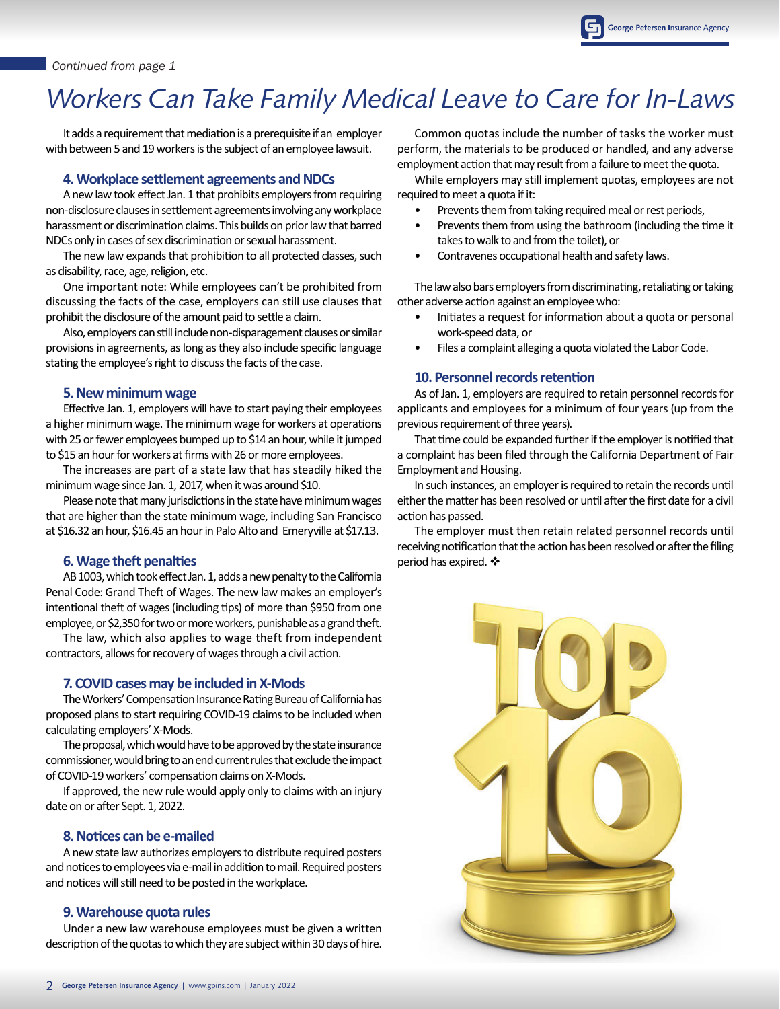#### *Continued from page 1*

## *Workers Can Take Family Medical Leave to Care for In-Laws*

It adds a requirement that mediation is a prerequisite if an employer with between 5 and 19 workers is the subject of an employee lawsuit.

#### **4. Workplace settlement agreements and NDCs**

A new law took effect Jan. 1 that prohibits employers from requiring non-disclosure clauses in settlement agreements involving any workplace harassment or discrimination claims. This builds on prior law that barred NDCs only in cases of sex discrimination or sexual harassment.

The new law expands that prohibition to all protected classes, such as disability, race, age, religion, etc.

One important note: While employees can't be prohibited from discussing the facts of the case, employers can still use clauses that prohibit the disclosure of the amount paid to settle a claim.

Also, employers can still include non-disparagement clauses or similar provisions in agreements, as long as they also include specific language stating the employee's right to discuss the facts of the case.

#### **5. New minimum wage**

Effective Jan. 1, employers will have to start paying their employees a higher minimum wage. The minimum wage for workers at operations with 25 or fewer employees bumped up to \$14 an hour, while it jumped to \$15 an hour for workers at firms with 26 or more employees.

The increases are part of a state law that has steadily hiked the minimum wage since Jan. 1, 2017, when it was around \$10.

Please note that many jurisdictions in the state have minimum wages that are higher than the state minimum wage, including San Francisco at \$16.32 an hour, \$16.45 an hour in Palo Alto and Emeryville at \$17.13.

#### **6. Wage theft penalties**

AB 1003, which took effect Jan. 1, adds a new penalty to the California Penal Code: Grand Theft of Wages. The new law makes an employer's intentional theft of wages (including tips) of more than \$950 from one employee, or \$2,350 for two or more workers, punishable as a grand theft.

The law, which also applies to wage theft from independent contractors, allows for recovery of wages through a civil action.

#### **7. COVID cases may be included in X-Mods**

The Workers' Compensation Insurance Rating Bureau of California has proposed plans to start requiring COVID-19 claims to be included when calculating employers' X-Mods.

The proposal, which would have to be approved by the state insurance commissioner, would bring to an end current rules that exclude the impact of COVID-19 workers' compensation claims on X-Mods.

If approved, the new rule would apply only to claims with an injury date on or after Sept. 1, 2022.

#### **8. Notices can be e-mailed**

A new state law authorizes employers to distribute required posters and notices to employees via e-mail in addition to mail. Required posters and notices will still need to be posted in the workplace.

#### **9. Warehouse quota rules**

Under a new law warehouse employees must be given a written description of the quotas to which they are subject within 30 days of hire.

Common quotas include the number of tasks the worker must perform, the materials to be produced or handled, and any adverse employment action that may result from a failure to meet the quota.

While employers may still implement quotas, employees are not required to meet a quota if it:

- Prevents them from taking required meal or rest periods,
- Prevents them from using the bathroom (including the time it takes to walk to and from the toilet), or
- Contravenes occupational health and safety laws.

The law also bars employers from discriminating, retaliating or taking other adverse action against an employee who:

- Initiates a request for information about a quota or personal work-speed data, or
- Files a complaint alleging a quota violated the Labor Code.

#### **10. Personnel records retention**

As of Jan. 1, employers are required to retain personnel records for applicants and employees for a minimum of four years (up from the previous requirement of three years).

That time could be expanded further if the employer is notified that a complaint has been filed through the California Department of Fair Employment and Housing.

In such instances, an employer is required to retain the records until either the matter has been resolved or until after the first date for a civil action has passed.

The employer must then retain related personnel records until receiving notification that the action has been resolved or after the filing period has expired.  $\clubsuit$ 

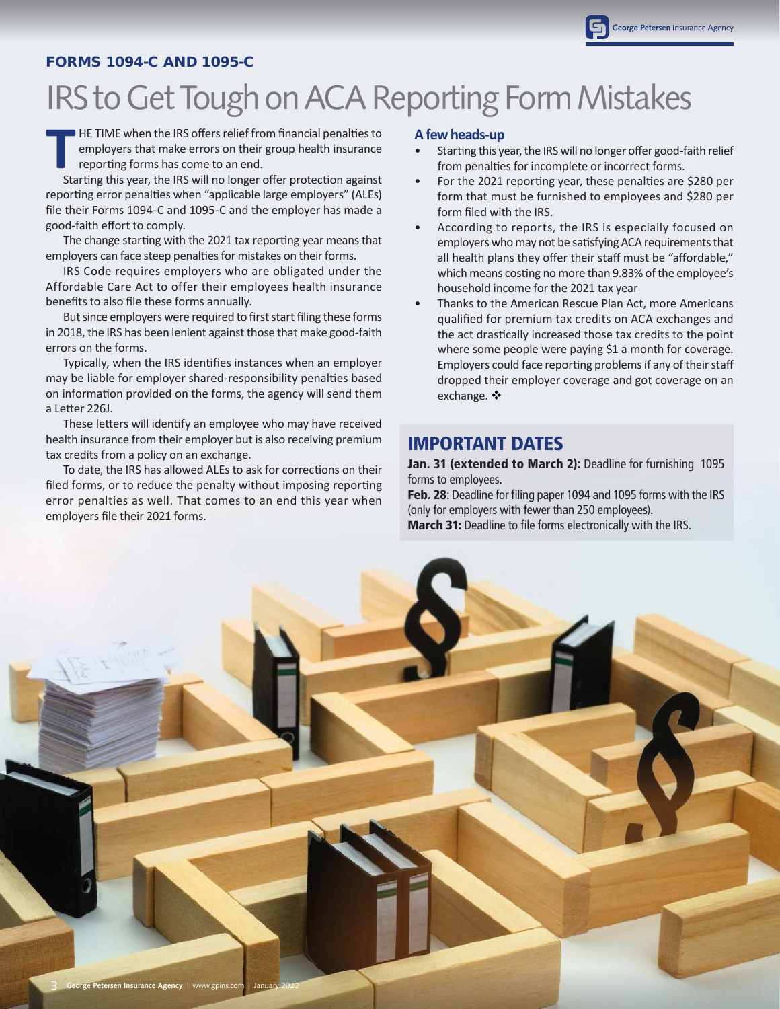#### FORMS 1094-C AND 1095-C

# IRS to Get Tough on ACA Reporting Form Mistakes

**T** HE TIME when the IRS offers relief from financial penalties to employers that make errors on their group health insurance reporting forms has come to an end.

Starting this year, the IRS will no longer offer protection against reporting error penalties when "applicable large employers" (ALEs) file their Forms 1094-C and 1095-C and the employer has made a good-faith effort to comply.

The change starting with the 2021 tax reporting year means that employers can face steep penalties for mistakes on their forms.

IRS Code requires employers who are obligated under the Affordable Care Act to offer their employees health insurance benefits to also file these forms annually.

But since employers were required to first start filing these forms in 2018, the IRS has been lenient against those that make good-faith errors on the forms.

Typically, when the IRS identifies instances when an employer may be liable for employer shared-responsibility penalties based on information provided on the forms, the agency will send them a Letter 226J.

These letters will identify an employee who may have received health insurance from their employer but is also receiving premium tax credits from a policy on an exchange.

To date, the IRS has allowed ALEs to ask for corrections on their filed forms, or to reduce the penalty without imposing reporting error penalties as well. That comes to an end this year when employers file their 2021 forms.

#### **A few heads-up**

- Starting this year, the IRS will no longer offer good-faith relief from penalties for incomplete or incorrect forms.
- For the 2021 reporting year, these penalties are \$280 per form that must be furnished to employees and \$280 per form filed with the IRS.
- According to reports, the IRS is especially focused on employers who may not be satisfying ACA requirements that all health plans they offer their staff must be "affordable," which means costing no more than 9.83% of the employee's household income for the 2021 tax year
- Thanks to the American Rescue Plan Act, more Americans qualified for premium tax credits on ACA exchanges and the act drastically increased those tax credits to the point where some people were paying \$1 a month for coverage. Employers could face reporting problems if any of their staff dropped their employer coverage and got coverage on an exchange.  $\mathbf{\dot{v}}$

## IMPORTANT DATES

Jan. 31 (extended to March 2): Deadline for furnishing 1095 forms to employees.

**Feb. 28:** Deadline for filing paper 1094 and 1095 forms with the IRS (only for employers with fewer than 250 employees). **March 31:** Deadline to file forms electronically with the IRS.